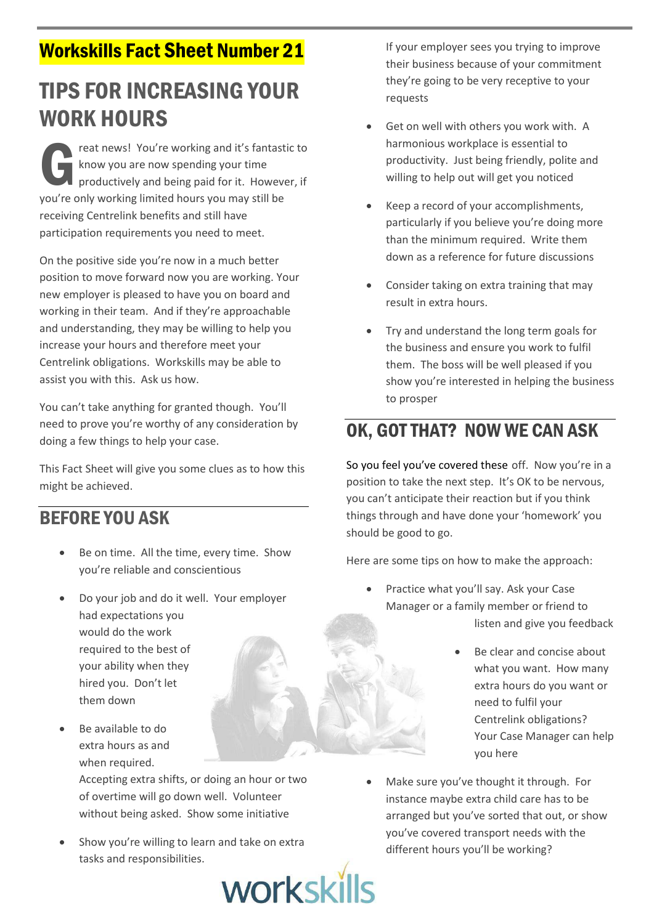## **Workskills Fact Sheet Number 21**

# **TIPS FOR INCREASING YOUR WORK HOURS**

reat news! You're working and it's fantastic to know you are now spending your time productively and being paid for it. However, if you're only working limited hours you may still be receiving Centrelink benefits and still have participation requirements you need to meet.

On the positive side you're now in a much better position to move forward now you are working. Your new employer is pleased to have you on board and working in their team. And if they're approachable and understanding, they may be willing to help you increase your hours and therefore meet your Centrelink obligations. Workskills may be able to assist you with this. Ask us how.

You can't take anything for granted though. You'll need to prove you're worthy of any consideration by doing a few things to help your case.

This Fact Sheet will give you some clues as to how this might be achieved.

#### **REFORE YOU ASK**

- Be on time. All the time, every time. Show vou're reliable and conscientious
- Do your job and do it well. Your employer had expectations you would do the work required to the best of your ability when they hired you. Don't let them down
- Be available to do extra hours as and when required.

Accepting extra shifts, or doing an hour or two of overtime will go down well. Volunteer without being asked. Show some initiative

Show you're willing to learn and take on extra tasks and responsibilities.



If your employer sees you trying to improve their business because of your commitment they're going to be very receptive to your requests

- Get on well with others you work with. A harmonious workplace is essential to productivity. Just being friendly, polite and willing to help out will get you noticed
- Keep a record of your accomplishments, particularly if you believe you're doing more than the minimum required. Write them down as a reference for future discussions
- Consider taking on extra training that may result in extra hours.
- Try and understand the long term goals for the business and ensure you work to fulfil them. The boss will be well pleased if you show you're interested in helping the business to prosper

### OK, GOT THAT? NOW WE CAN ASK

So you feel you've covered these off. Now you're in a position to take the next step. It's OK to be nervous, you can't anticipate their reaction but if you think things through and have done your 'homework' you should be good to go.

Here are some tips on how to make the approach:

- Practice what you'll say. Ask your Case Manager or a family member or friend to listen and give you feedback
	- Be clear and concise about what you want. How many extra hours do you want or need to fulfil your Centrelink obligations? Your Case Manager can help vou here
- Make sure you've thought it through. For instance maybe extra child care has to be arranged but you've sorted that out, or show you've covered transport needs with the different hours you'll be working?